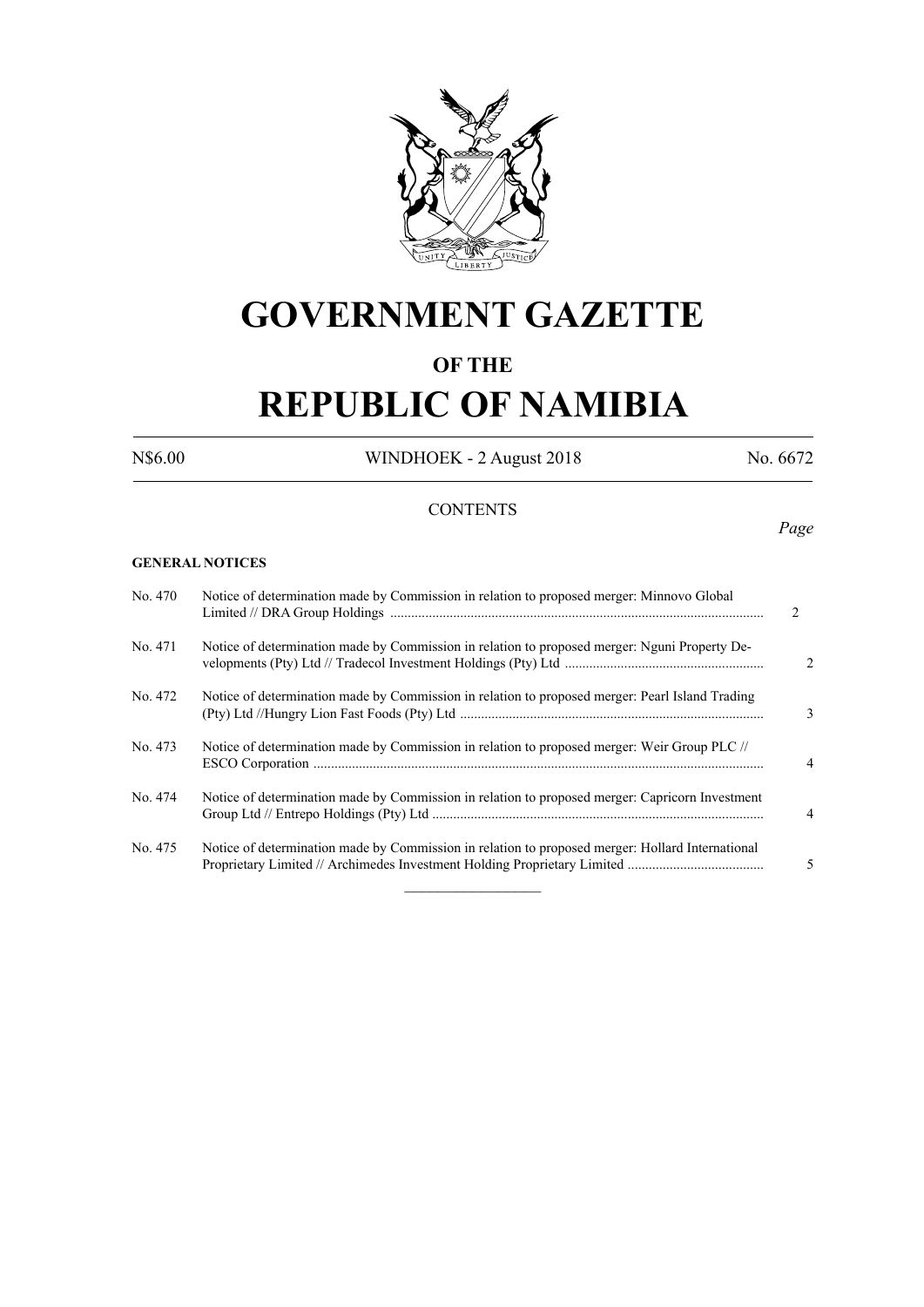

# **GOVERNMENT GAZETTE**

# **OF THE**

# **REPUBLIC OF NAMIBIA**

N\$6.00 WINDHOEK - 2 August 2018 No. 6672

## **CONTENTS**

#### **GENERAL NOTICES**

| No. 470 | Notice of determination made by Commission in relation to proposed merger: Minnovo Global        | $\mathfrak{D}$ |
|---------|--------------------------------------------------------------------------------------------------|----------------|
| No. 471 | Notice of determination made by Commission in relation to proposed merger: Nguni Property De-    | $\overline{c}$ |
| No. 472 | Notice of determination made by Commission in relation to proposed merger: Pearl Island Trading  | 3              |
| No. 473 | Notice of determination made by Commission in relation to proposed merger: Weir Group PLC //     | $\overline{4}$ |
| No. 474 | Notice of determination made by Commission in relation to proposed merger: Capricorn Investment  | $\overline{4}$ |
| No. 475 | Notice of determination made by Commission in relation to proposed merger: Hollard International | 5              |

 $\frac{1}{2}$ 

#### *Page*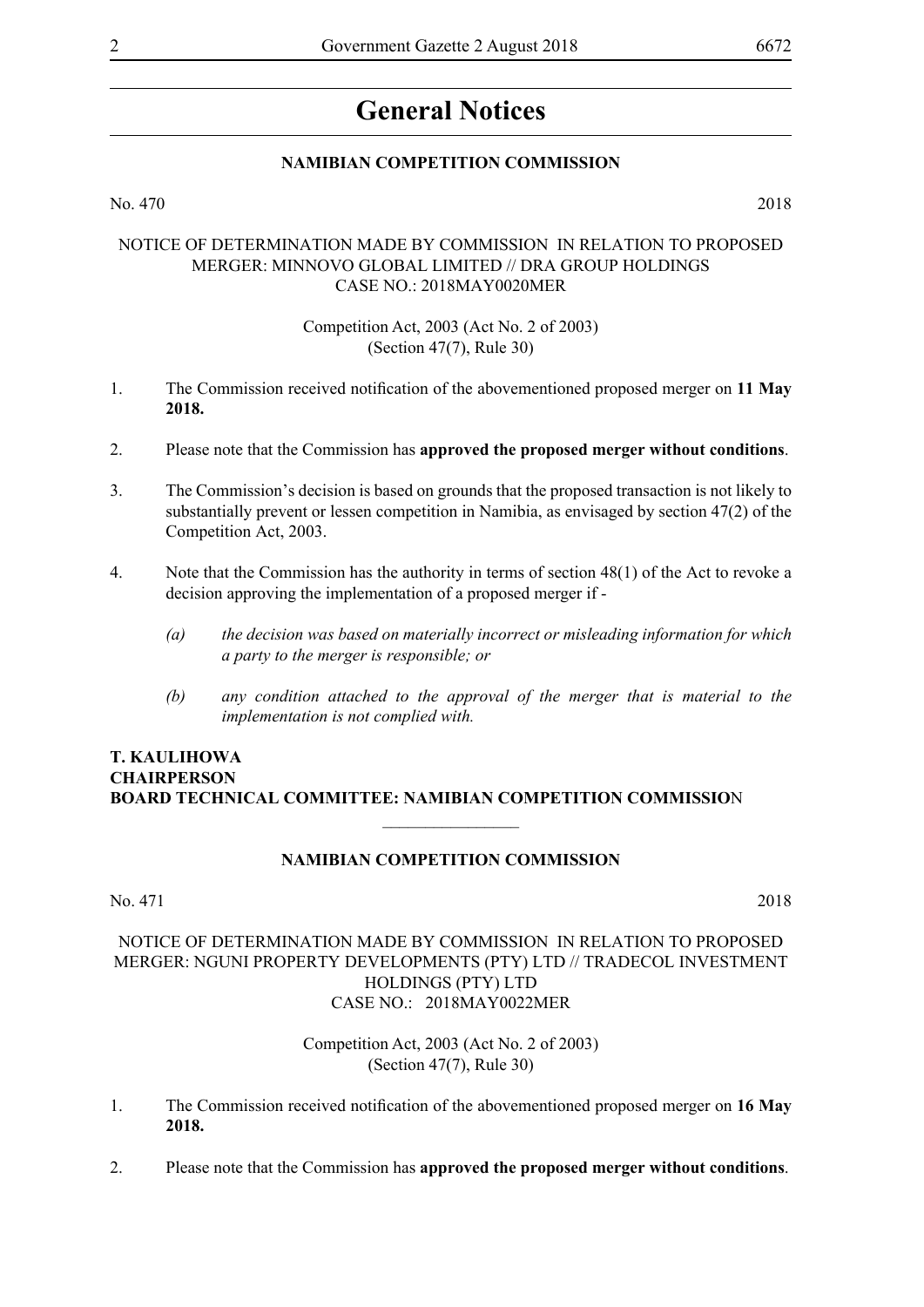# **General Notices**

#### **NAMIBIAN COMPETITION COMMISSION**

No. 470 2018

#### NOTICE OF DETERMINATION MADE BY COMMISSION IN RELATION TO PROPOSED MERGER: MINNOVO GLOBAL LIMITED // DRA GROUP HOLDINGS CASE NO.: 2018MAY0020MER

#### Competition Act, 2003 (Act No. 2 of 2003) (Section 47(7), Rule 30)

- 1. The Commission received notification of the abovementioned proposed merger on **11 May 2018.**
- 2. Please note that the Commission has **approved the proposed merger without conditions**.
- 3. The Commission's decision is based on grounds that the proposed transaction is not likely to substantially prevent or lessen competition in Namibia, as envisaged by section 47(2) of the Competition Act, 2003.
- 4. Note that the Commission has the authority in terms of section 48(1) of the Act to revoke a decision approving the implementation of a proposed merger if -
	- *(a) the decision was based on materially incorrect or misleading information for which a party to the merger is responsible; or*
	- *(b) any condition attached to the approval of the merger that is material to the implementation is not complied with.*

#### **T. Kaulihowa Chairperson Board Technical Committee: Namibian Competition Commissio**n

#### **NAMIBIAN COMPETITION COMMISSION**

 $\frac{1}{2}$ 

No. 471 2018

#### NOTICE OF DETERMINATION MADE BY COMMISSION IN RELATION TO PROPOSED MERGER: NGUNI PROPERTY DEVELOPMENTS (PTY) LTD // TRADECOL INVESTMENT HOLDINGS (PTY) LTD CASE NO.: 2018MAY0022MER

Competition Act, 2003 (Act No. 2 of 2003) (Section 47(7), Rule 30)

- 1. The Commission received notification of the abovementioned proposed merger on **16 May 2018.**
- 2. Please note that the Commission has **approved the proposed merger without conditions**.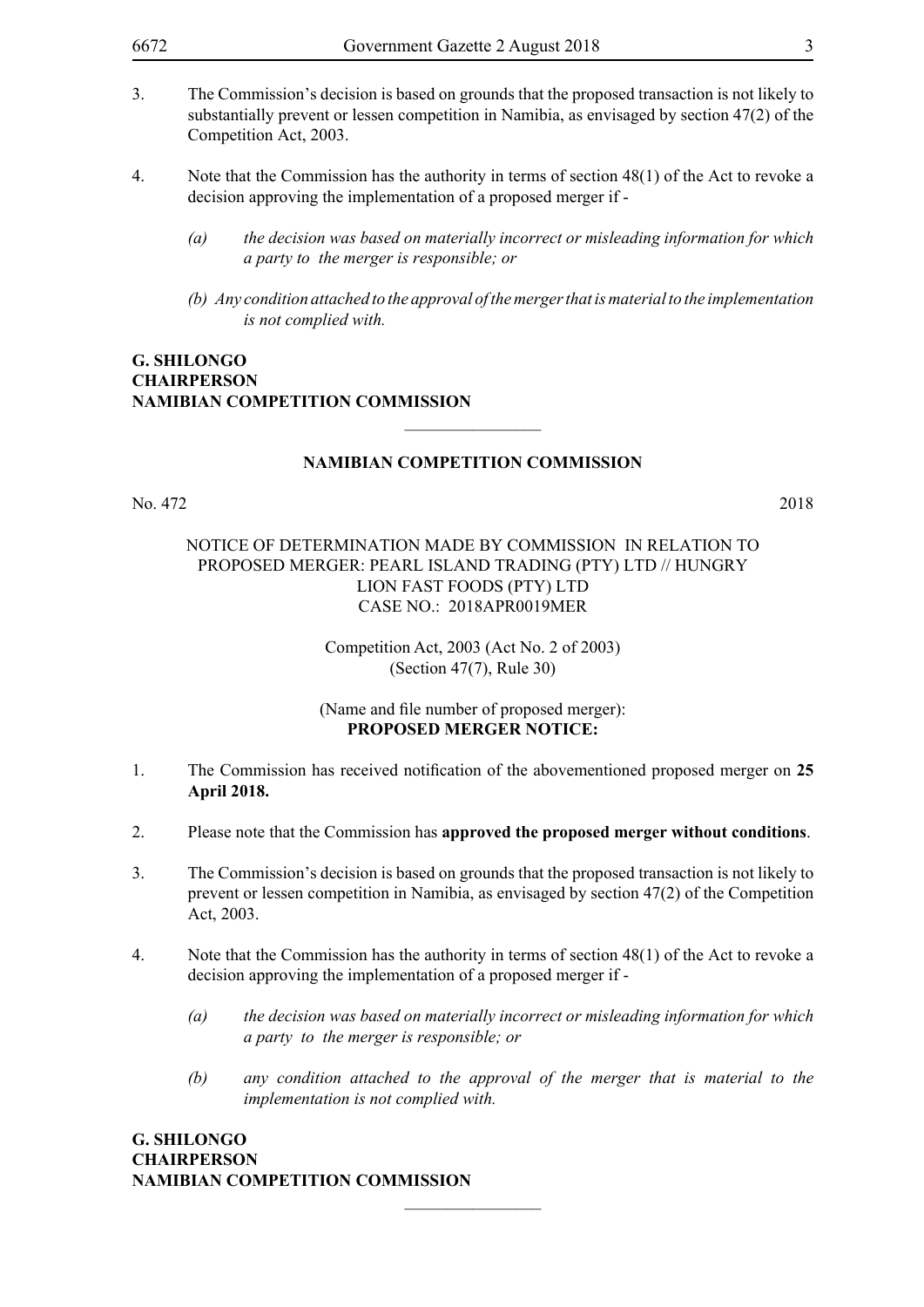- 3. The Commission's decision is based on grounds that the proposed transaction is not likely to substantially prevent or lessen competition in Namibia, as envisaged by section 47(2) of the Competition Act, 2003.
- 4. Note that the Commission has the authority in terms of section 48(1) of the Act to revoke a decision approving the implementation of a proposed merger if -
	- *(a) the decision was based on materially incorrect or misleading information for which a party to the merger is responsible; or*
	- *(b) Any condition attached to the approval of the merger that is material to the implementation is not complied with.*

#### **G. Shilongo Chairperson Namibian Competition Commission**

#### **NAMIBIAN COMPETITION COMMISSION**

 $\overline{\phantom{a}}$  , where  $\overline{\phantom{a}}$ 

No. 472 2018

#### NOTICE OF DETERMINATION MADE BY COMMISSION IN RELATION TO PROPOSED MERGER: PEARL ISLAND TRADING (PTY) LTD // HUNGRY LION FAST FOODS (PTY) LTD CASE NO.: 2018APR0019MER

Competition Act, 2003 (Act No. 2 of 2003) (Section 47(7), Rule 30)

#### (Name and file number of proposed merger): **PROPOSED MERGER NOTICE:**

- 1. The Commission has received notification of the abovementioned proposed merger on **25 April 2018.**
- 2. Please note that the Commission has **approved the proposed merger without conditions**.
- 3. The Commission's decision is based on grounds that the proposed transaction is not likely to prevent or lessen competition in Namibia, as envisaged by section 47(2) of the Competition Act, 2003.
- 4. Note that the Commission has the authority in terms of section 48(1) of the Act to revoke a decision approving the implementation of a proposed merger if -

 $\overline{\phantom{a}}$  , where  $\overline{\phantom{a}}$ 

- *(a) the decision was based on materially incorrect or misleading information for which a party to the merger is responsible; or*
- *(b) any condition attached to the approval of the merger that is material to the implementation is not complied with.*

**G. Shilongo Chairperson Namibian Competition Commission**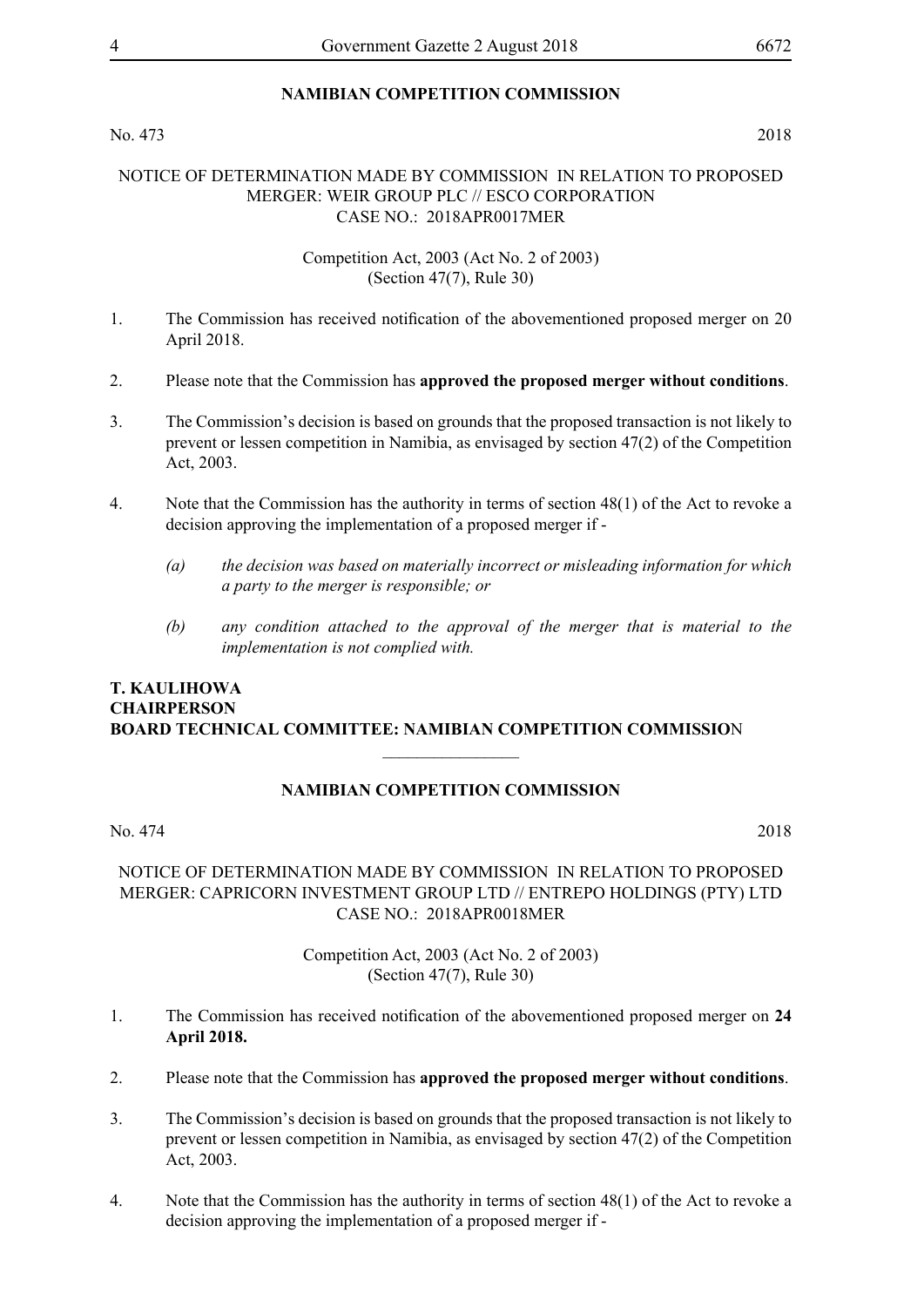### **NAMIBIAN COMPETITION COMMISSION**

#### No. 473 2018

#### NOTICE OF DETERMINATION MADE BY COMMISSION IN RELATION TO PROPOSED MERGER: WEIR GROUP PLC // ESCO CORPORATION CASE NO.: 2018APR0017MER

#### Competition Act, 2003 (Act No. 2 of 2003) (Section 47(7), Rule 30)

- 1. The Commission has received notification of the abovementioned proposed merger on 20 April 2018.
- 2. Please note that the Commission has **approved the proposed merger without conditions**.
- 3. The Commission's decision is based on grounds that the proposed transaction is not likely to prevent or lessen competition in Namibia, as envisaged by section 47(2) of the Competition Act, 2003.
- 4. Note that the Commission has the authority in terms of section 48(1) of the Act to revoke a decision approving the implementation of a proposed merger if -
	- *(a) the decision was based on materially incorrect or misleading information for which a party to the merger is responsible; or*
	- *(b) any condition attached to the approval of the merger that is material to the implementation is not complied with.*

#### **T. Kaulihowa Chairperson Board Technical Committee: Namibian Competition Commissio**n

## **NAMIBIAN COMPETITION COMMISSION**

 $\frac{1}{2}$ 

No. 474 2018

#### NOTICE OF DETERMINATION MADE BY COMMISSION IN RELATION TO PROPOSED MERGER: CAPRICORN INVESTMENT GROUP LTD // ENTREPO HOLDINGS (PTY) LTD CASE NO.: 2018APR0018MER

Competition Act, 2003 (Act No. 2 of 2003) (Section 47(7), Rule 30)

- 1. The Commission has received notification of the abovementioned proposed merger on **24 April 2018.**
- 2. Please note that the Commission has **approved the proposed merger without conditions**.
- 3. The Commission's decision is based on grounds that the proposed transaction is not likely to prevent or lessen competition in Namibia, as envisaged by section 47(2) of the Competition Act, 2003.
- 4. Note that the Commission has the authority in terms of section 48(1) of the Act to revoke a decision approving the implementation of a proposed merger if -